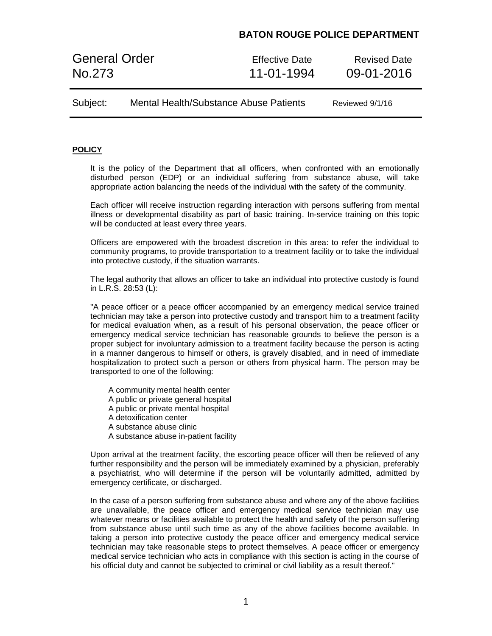## **BATON ROUGE POLICE DEPARTMENT**

General Order **Effective Date** Revised Date No.273 11-01-1994 09-01-2016

Subject: Mental Health/Substance Abuse Patients Reviewed 9/1/16

### **POLICY**

It is the policy of the Department that all officers, when confronted with an emotionally disturbed person (EDP) or an individual suffering from substance abuse, will take appropriate action balancing the needs of the individual with the safety of the community.

Each officer will receive instruction regarding interaction with persons suffering from mental illness or developmental disability as part of basic training. In-service training on this topic will be conducted at least every three years.

Officers are empowered with the broadest discretion in this area: to refer the individual to community programs, to provide transportation to a treatment facility or to take the individual into protective custody, if the situation warrants.

The legal authority that allows an officer to take an individual into protective custody is found in L.R.S. 28:53 (L):

"A peace officer or a peace officer accompanied by an emergency medical service trained technician may take a person into protective custody and transport him to a treatment facility for medical evaluation when, as a result of his personal observation, the peace officer or emergency medical service technician has reasonable grounds to believe the person is a proper subject for involuntary admission to a treatment facility because the person is acting in a manner dangerous to himself or others, is gravely disabled, and in need of immediate hospitalization to protect such a person or others from physical harm. The person may be transported to one of the following:

A community mental health center A public or private general hospital A public or private mental hospital A detoxification center A substance abuse clinic A substance abuse in-patient facility

Upon arrival at the treatment facility, the escorting peace officer will then be relieved of any further responsibility and the person will be immediately examined by a physician, preferably a psychiatrist, who will determine if the person will be voluntarily admitted, admitted by emergency certificate, or discharged.

In the case of a person suffering from substance abuse and where any of the above facilities are unavailable, the peace officer and emergency medical service technician may use whatever means or facilities available to protect the health and safety of the person suffering from substance abuse until such time as any of the above facilities become available. In taking a person into protective custody the peace officer and emergency medical service technician may take reasonable steps to protect themselves. A peace officer or emergency medical service technician who acts in compliance with this section is acting in the course of his official duty and cannot be subjected to criminal or civil liability as a result thereof."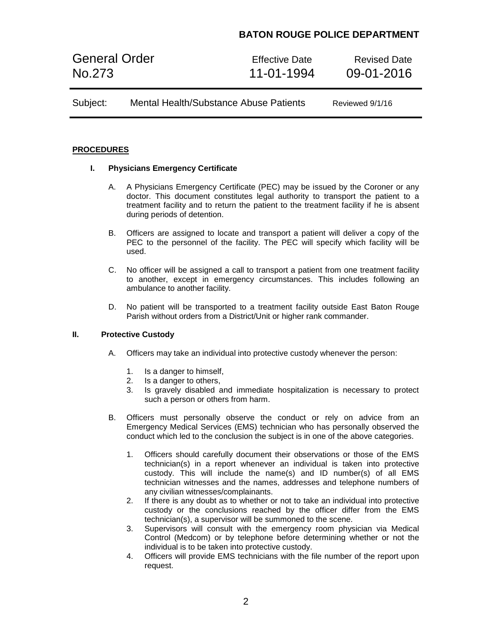# **BATON ROUGE POLICE DEPARTMENT**

General Order **Effective Date** Revised Date No.273 11-01-1994 09-01-2016

Subject: Mental Health/Substance Abuse Patients Reviewed 9/1/16

### **PROCEDURES**

### **I. Physicians Emergency Certificate**

- A. A Physicians Emergency Certificate (PEC) may be issued by the Coroner or any doctor. This document constitutes legal authority to transport the patient to a treatment facility and to return the patient to the treatment facility if he is absent during periods of detention.
- B. Officers are assigned to locate and transport a patient will deliver a copy of the PEC to the personnel of the facility. The PEC will specify which facility will be used.
- C. No officer will be assigned a call to transport a patient from one treatment facility to another, except in emergency circumstances. This includes following an ambulance to another facility.
- D. No patient will be transported to a treatment facility outside East Baton Rouge Parish without orders from a District/Unit or higher rank commander.

### **II. Protective Custody**

- A. Officers may take an individual into protective custody whenever the person:
	- 1. Is a danger to himself,
	- 2. Is a danger to others,
	- 3. Is gravely disabled and immediate hospitalization is necessary to protect such a person or others from harm.
- B. Officers must personally observe the conduct or rely on advice from an Emergency Medical Services (EMS) technician who has personally observed the conduct which led to the conclusion the subject is in one of the above categories.
	- 1. Officers should carefully document their observations or those of the EMS technician(s) in a report whenever an individual is taken into protective custody. This will include the name(s) and ID number(s) of all EMS technician witnesses and the names, addresses and telephone numbers of any civilian witnesses/complainants.
	- 2. If there is any doubt as to whether or not to take an individual into protective custody or the conclusions reached by the officer differ from the EMS technician(s), a supervisor will be summoned to the scene.
	- 3. Supervisors will consult with the emergency room physician via Medical Control (Medcom) or by telephone before determining whether or not the individual is to be taken into protective custody.
	- 4. Officers will provide EMS technicians with the file number of the report upon request.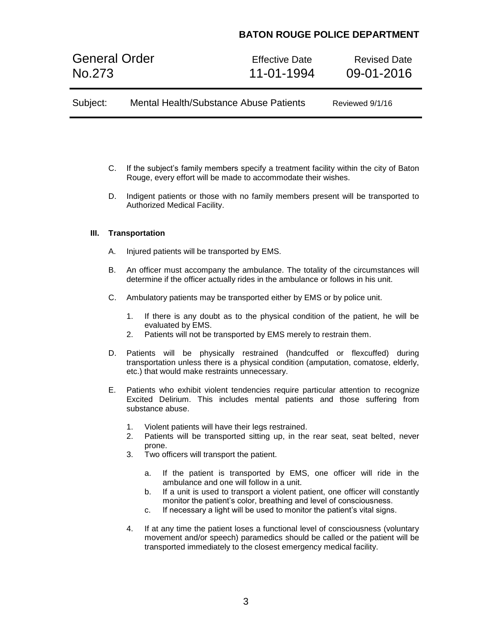# **BATON ROUGE POLICE DEPARTMENT**

General Order **Effective Date** Revised Date No.273 11-01-1994 09-01-2016

- C. If the subject's family members specify a treatment facility within the city of Baton Rouge, every effort will be made to accommodate their wishes.
- D. Indigent patients or those with no family members present will be transported to Authorized Medical Facility.

### **III. Transportation**

- A. Injured patients will be transported by EMS.
- B. An officer must accompany the ambulance. The totality of the circumstances will determine if the officer actually rides in the ambulance or follows in his unit.
- C. Ambulatory patients may be transported either by EMS or by police unit.
	- 1. If there is any doubt as to the physical condition of the patient, he will be evaluated by EMS.
	- 2. Patients will not be transported by EMS merely to restrain them.
- D. Patients will be physically restrained (handcuffed or flexcuffed) during transportation unless there is a physical condition (amputation, comatose, elderly, etc.) that would make restraints unnecessary.
- E. Patients who exhibit violent tendencies require particular attention to recognize Excited Delirium. This includes mental patients and those suffering from substance abuse.
	- 1. Violent patients will have their legs restrained.
	- 2. Patients will be transported sitting up, in the rear seat, seat belted, never prone.
	- 3. Two officers will transport the patient.
		- a. If the patient is transported by EMS, one officer will ride in the ambulance and one will follow in a unit.
		- b. If a unit is used to transport a violent patient, one officer will constantly monitor the patient's color, breathing and level of consciousness.
		- c. If necessary a light will be used to monitor the patient's vital signs.
	- 4. If at any time the patient loses a functional level of consciousness (voluntary movement and/or speech) paramedics should be called or the patient will be transported immediately to the closest emergency medical facility.